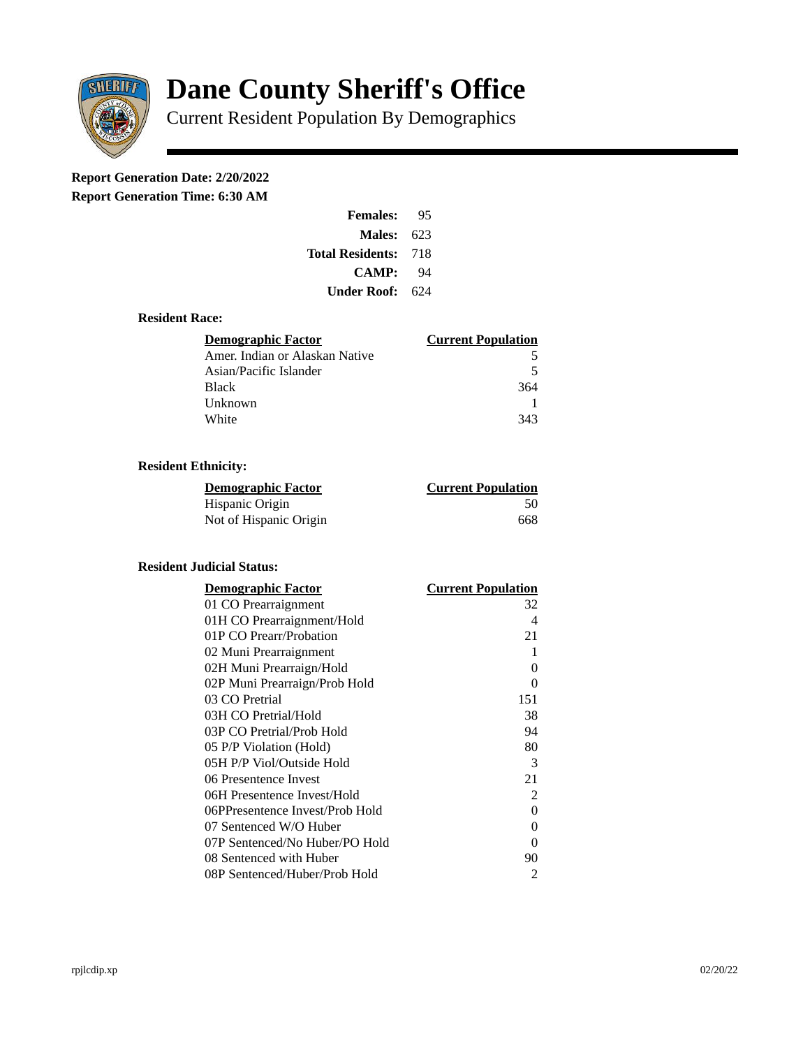

# **Dane County Sheriff's Office**

Current Resident Population By Demographics

## **Report Generation Date: 2/20/2022**

**Report Generation Time: 6:30 AM** 

| <b>Females:</b>         | 95  |
|-------------------------|-----|
| Males:                  | 623 |
| <b>Total Residents:</b> | 718 |
| <b>CAMP:</b>            | 94  |
| Under Roof: \           | 624 |

#### **Resident Race:**

| Demographic Factor             | <b>Current Population</b> |
|--------------------------------|---------------------------|
| Amer. Indian or Alaskan Native | 5                         |
| Asian/Pacific Islander         | 5                         |
| <b>Black</b>                   | 364                       |
| Unknown                        |                           |
| White                          | 343                       |

#### **Resident Ethnicity:**

| Demographic Factor     | <b>Current Population</b> |
|------------------------|---------------------------|
| Hispanic Origin        | 50                        |
| Not of Hispanic Origin | 668                       |

### **Resident Judicial Status:**

| <b>Demographic Factor</b>       | <b>Current Population</b> |
|---------------------------------|---------------------------|
| 01 CO Prearraignment            | 32                        |
| 01H CO Prearraignment/Hold      | 4                         |
| 01P CO Prearr/Probation         | 21                        |
| 02 Muni Prearraignment          | 1                         |
| 02H Muni Prearraign/Hold        | 0                         |
| 02P Muni Prearraign/Prob Hold   | 0                         |
| 03 CO Pretrial                  | 151                       |
| 03H CO Pretrial/Hold            | 38                        |
| 03P CO Pretrial/Prob Hold       | 94                        |
| 05 P/P Violation (Hold)         | 80                        |
| 05H P/P Viol/Outside Hold       | 3                         |
| 06 Presentence Invest           | 21                        |
| 06H Presentence Invest/Hold     | 2                         |
| 06PPresentence Invest/Prob Hold | O                         |
| 07 Sentenced W/O Huber          | 0                         |
| 07P Sentenced/No Huber/PO Hold  | 0                         |
| 08 Sentenced with Huber         | 90                        |
| 08P Sentenced/Huber/Prob Hold   | 2                         |